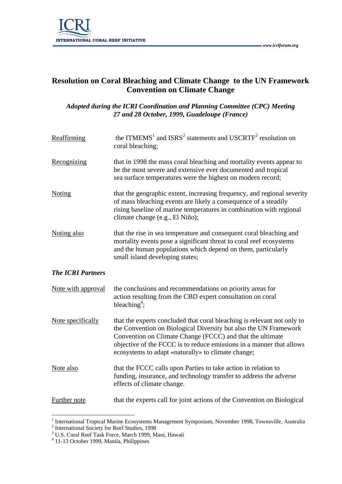

## **Resolution on Coral Bleaching and Climate Change to the UN Framework Convention on Climate Change**

## *Adopted during the ICRI Coordination and Planning Committee (CPC) Meeting 27 and 28 October, 1999, Guadeloupe (France)*

| Reaffirming              | the ITMEMS <sup>1</sup> and ISRS <sup>2</sup> statements and USCRTF <sup>3</sup> resolution on<br>coral bleaching;                                                                                                                                                                                                                     |
|--------------------------|----------------------------------------------------------------------------------------------------------------------------------------------------------------------------------------------------------------------------------------------------------------------------------------------------------------------------------------|
| Recognizing              | that in 1998 the mass coral bleaching and mortality events appear to<br>be the most severe and extensive ever documented and tropical<br>sea surface temperatures were the highest on modern record;                                                                                                                                   |
| <b>Noting</b>            | that the geographic extent, increasing frequency, and regional severity<br>of mass bleaching events are likely a consequence of a steadily<br>rising baseline of marine temperatures in combination with regional<br>climate change (e.g., El Niño);                                                                                   |
| Noting also              | that the rise in sea temperature and consequent coral bleaching and<br>mortality events pose a significant threat to coral reef ecosystems<br>and the human populations which depend on them, particularly<br>small island developing states;                                                                                          |
| <b>The ICRI Partners</b> |                                                                                                                                                                                                                                                                                                                                        |
| Note with approval       | the conclusions and recommendations on priority areas for<br>action resulting from the CBD expert consultation on coral<br>bleaching <sup>4</sup> ;                                                                                                                                                                                    |
| Note specifically        | that the experts concluded that coral bleaching is relevant not only to<br>the Convention on Biological Diversity but also the UN Framework<br>Convention on Climate Change (FCCC) and that the ultimate<br>objective of the FCCC is to reduce emissions in a manner that allows<br>ecosystems to adapt «naturally» to climate change; |
| Note also                | that the FCCC calls upon Parties to take action in relation to<br>funding, insurance, and technology transfer to address the adverse<br>effects of climate change.                                                                                                                                                                     |
| Further note             | that the experts call for joint actions of the Convention on Biological                                                                                                                                                                                                                                                                |

<sup>&</sup>lt;sup>1</sup> International Tropical Marine Ecosystems Management Symposium, November 1998, Townsville, Australia<sup>2</sup><br><sup>2</sup> International Society for Reef Studies, 1998<br><sup>3</sup> U.S. Coral Reef Task Force, March 1999, Maui, Hawaii

<sup>4</sup> 11-13 October 1999, Manila, Philippines